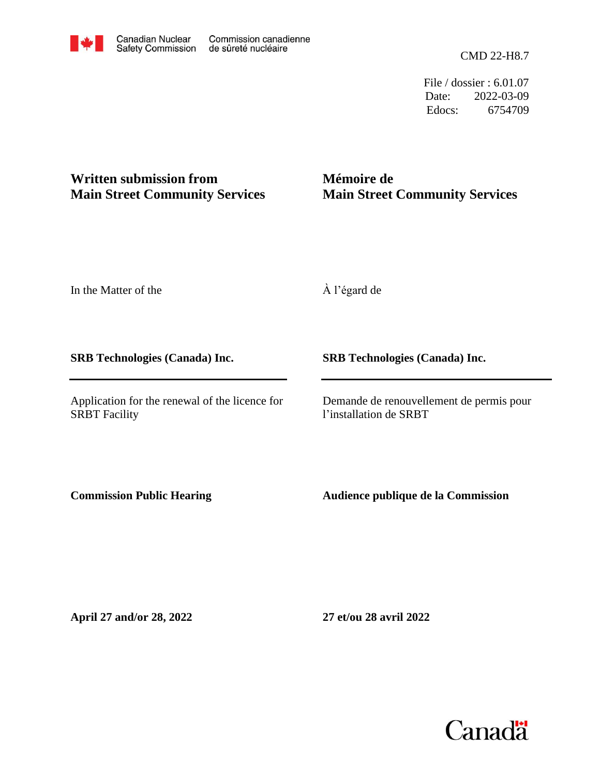CMD 22-H8.7

File / dossier : 6.01.07 Date: 2022-03-09 Edocs: 6754709

## **Written submission from Main Street Community Services**

**Mémoire de Main Street Community Services**

In the Matter of the

**SRB Technologies (Canada) Inc.**

Application for the renewal of the licence for SRBT Facility

À l'égard de

**SRB Technologies (Canada) Inc.**

Demande de renouvellement de permis pour l'installation de SRBT

**Commission Public Hearing**

**Audience publique de la Commission**

**April 27 and/or 28, 2022**

**27 et/ou 28 avril 2022**

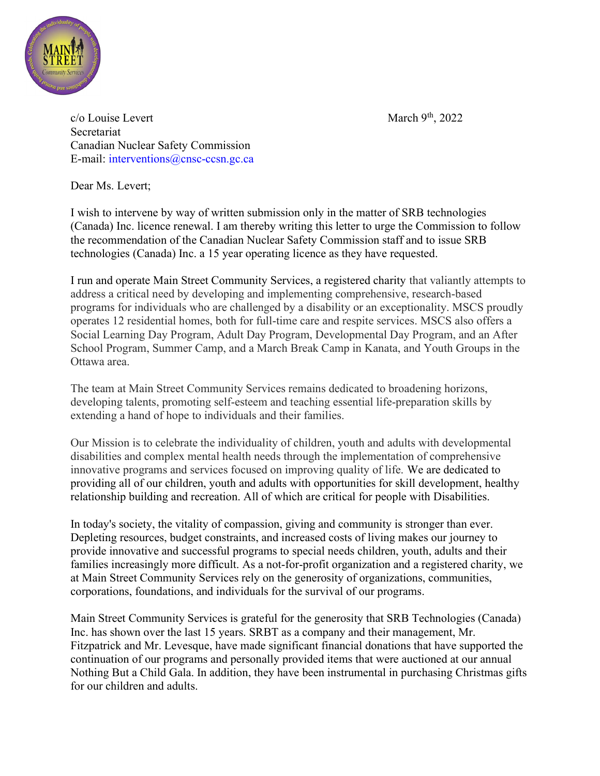

 $c/o$  Louise Levert March 9<sup>th</sup>, 2022 **Secretariat** Canadian Nuclear Safety Commission E-mail: interventions@cnsc-ccsn.gc.ca

Dear Ms. Levert;

I wish to intervene by way of written submission only in the matter of SRB technologies (Canada) Inc. licence renewal. I am thereby writing this letter to urge the Commission to follow the recommendation of the Canadian Nuclear Safety Commission staff and to issue SRB technologies (Canada) Inc. a 15 year operating licence as they have requested.

I run and operate Main Street Community Services, a registered charity that valiantly attempts to address a critical need by developing and implementing comprehensive, research-based programs for individuals who are challenged by a disability or an exceptionality. MSCS proudly operates 12 residential homes, both for full-time care and respite services. MSCS also offers a Social Learning Day Program, Adult Day Program, Developmental Day Program, and an After School Program, Summer Camp, and a March Break Camp in Kanata, and Youth Groups in the Ottawa area.

The team at Main Street Community Services remains dedicated to broadening horizons, developing talents, promoting self-esteem and teaching essential life-preparation skills by extending a hand of hope to individuals and their families.

Our Mission is to celebrate the individuality of children, youth and adults with developmental disabilities and complex mental health needs through the implementation of comprehensive innovative programs and services focused on improving quality of life. We are dedicated to providing all of our children, youth and adults with opportunities for skill development, healthy relationship building and recreation. All of which are critical for people with Disabilities.

In today's society, the vitality of compassion, giving and community is stronger than ever. Depleting resources, budget constraints, and increased costs of living makes our journey to provide innovative and successful programs to special needs children, youth, adults and their families increasingly more difficult. As a not-for-profit organization and a registered charity, we at Main Street Community Services rely on the generosity of organizations, communities, corporations, foundations, and individuals for the survival of our programs.

Main Street Community Services is grateful for the generosity that SRB Technologies (Canada) Inc. has shown over the last 15 years. SRBT as a company and their management, Mr. Fitzpatrick and Mr. Levesque, have made significant financial donations that have supported the continuation of our programs and personally provided items that were auctioned at our annual Nothing But a Child Gala. In addition, they have been instrumental in purchasing Christmas gifts for our children and adults.